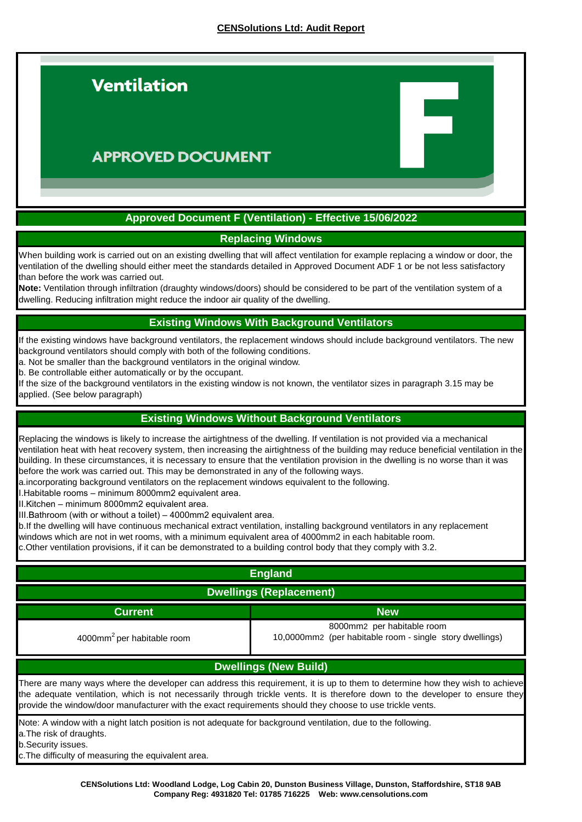

### **APPROVED DOCUMENT**

### **Approved Document F (Ventilation) - Effective 15/06/2022**

### **Replacing Windows**

When building work is carried out on an existing dwelling that will affect ventilation for example replacing a window or door, the ventilation of the dwelling should either meet the standards detailed in Approved Document ADF 1 or be not less satisfactory than before the work was carried out.

**Note:** Ventilation through infiltration (draughty windows/doors) should be considered to be part of the ventilation system of a dwelling. Reducing infiltration might reduce the indoor air quality of the dwelling.

### **Existing Windows With Background Ventilators**

If the existing windows have background ventilators, the replacement windows should include background ventilators. The new background ventilators should comply with both of the following conditions.

a. Not be smaller than the background ventilators in the original window.

b. Be controllable either automatically or by the occupant.

If the size of the background ventilators in the existing window is not known, the ventilator sizes in paragraph 3.15 may be applied. (See below paragraph)

### **Existing Windows Without Background Ventilators**

Replacing the windows is likely to increase the airtightness of the dwelling. If ventilation is not provided via a mechanical ventilation heat with heat recovery system, then increasing the airtightness of the building may reduce beneficial ventilation in the building. In these circumstances, it is necessary to ensure that the ventilation provision in the dwelling is no worse than it was before the work was carried out. This may be demonstrated in any of the following ways.

a.incorporating background ventilators on the replacement windows equivalent to the following.

I. Habitable rooms – minimum 8000mm2 equivalent area.

II. Kitchen – minimum 8000mm2 equivalent area.

III. Bathroom (with or without a toilet) - 4000mm2 equivalent area.

b. If the dwelling will have continuous mechanical extract ventilation, installing background ventilators in any replacement

windows which are not in wet rooms, with a minimum equivalent area of 4000mm2 in each habitable room.

c. Other ventilation provisions, if it can be demonstrated to a building control body that they comply with 3.2.

| <b>England</b>                                                                                                                                                                                                                                                                                                                                                              |                                                                                        |  |
|-----------------------------------------------------------------------------------------------------------------------------------------------------------------------------------------------------------------------------------------------------------------------------------------------------------------------------------------------------------------------------|----------------------------------------------------------------------------------------|--|
| <b>Dwellings (Replacement)</b>                                                                                                                                                                                                                                                                                                                                              |                                                                                        |  |
| <b>Current</b>                                                                                                                                                                                                                                                                                                                                                              | <b>New</b>                                                                             |  |
| 4000mm <sup>2</sup> per habitable room                                                                                                                                                                                                                                                                                                                                      | 8000mm2 per habitable room<br>10,0000mm2 (per habitable room - single story dwellings) |  |
| <b>Dwellings (New Build)</b>                                                                                                                                                                                                                                                                                                                                                |                                                                                        |  |
| There are many ways where the developer can address this requirement, it is up to them to determine how they wish to achieve<br>the adequate ventilation, which is not necessarily through trickle vents. It is therefore down to the developer to ensure they<br>provide the window/door manufacturer with the exact requirements should they choose to use trickle vents. |                                                                                        |  |
| Note: A window with a night latch position is not adequate for background ventilation, due to the following.<br>a. The risk of draughts.<br>b.Security issues.<br>c. The difficulty of measuring the equivalent area.                                                                                                                                                       |                                                                                        |  |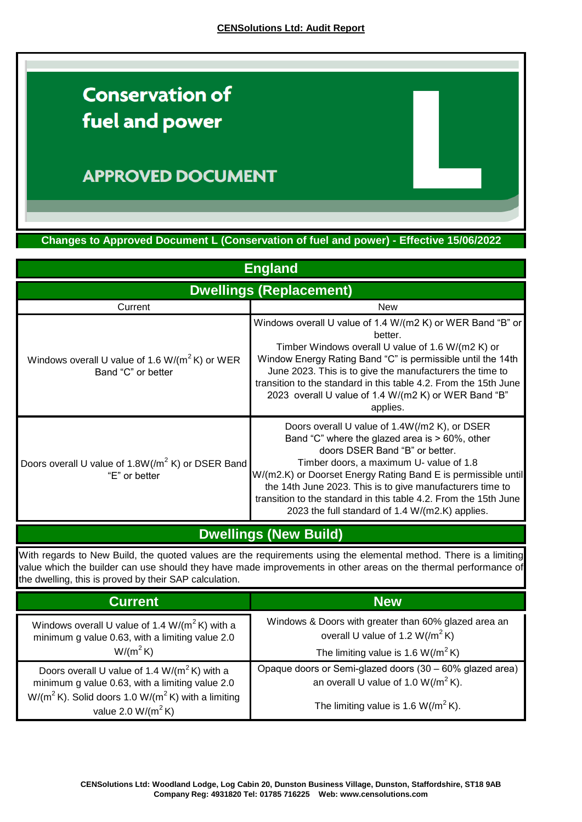# **Conservation of** fuel and power

### **APPROVED DOCUMENT**

**Changes to Approved Document L (Conservation of fuel and power) - Effective 15/06/2022**

| <b>England</b><br><b>Dwellings (Replacement)</b>                               |                                                                                                                                                                                                                                                                                                                                                                                                                                       |  |
|--------------------------------------------------------------------------------|---------------------------------------------------------------------------------------------------------------------------------------------------------------------------------------------------------------------------------------------------------------------------------------------------------------------------------------------------------------------------------------------------------------------------------------|--|
|                                                                                |                                                                                                                                                                                                                                                                                                                                                                                                                                       |  |
| Windows overall U value of 1.6 W/( $m^2$ K) or WER<br>Band "C" or better       | Windows overall U value of 1.4 W/(m2 K) or WER Band "B" or<br>better.<br>Timber Windows overall U value of 1.6 W/(m2 K) or<br>Window Energy Rating Band "C" is permissible until the 14th<br>June 2023. This is to give the manufacturers the time to<br>transition to the standard in this table 4.2. From the 15th June<br>2023 overall U value of 1.4 W/(m2 K) or WER Band "B"<br>applies.                                         |  |
| Doors overall U value of 1.8W(/m <sup>2</sup> K) or DSER Band<br>"E" or better | Doors overall U value of 1.4W(/m2 K), or DSER<br>Band "C" where the glazed area is $> 60\%$ , other<br>doors DSER Band "B" or better.<br>Timber doors, a maximum U- value of 1.8<br>W/(m2.K) or Doorset Energy Rating Band E is permissible until<br>the 14th June 2023. This is to give manufacturers time to<br>transition to the standard in this table 4.2. From the 15th June<br>2023 the full standard of 1.4 W/(m2.K) applies. |  |

**Dwellings (New Build)**

With regards to New Build, the quoted values are the requirements using the elemental method. There is a limiting value which the builder can use should they have made improvements in other areas on the thermal performance of the dwelling, this is proved by their SAP calculation.

| <b>Current</b>                                                                                                                                                                             | <b>New</b>                                                                                 |
|--------------------------------------------------------------------------------------------------------------------------------------------------------------------------------------------|--------------------------------------------------------------------------------------------|
| Windows overall U value of 1.4 W/( $m^2$ K) with a<br>minimum g value 0.63, with a limiting value 2.0                                                                                      | Windows & Doors with greater than 60% glazed area an<br>overall U value of 1.2 $W/(m^2 K)$ |
| $W/(m^2 K)$                                                                                                                                                                                | The limiting value is 1.6 $W/(m^2 K)$                                                      |
| Doors overall U value of 1.4 $W/(m^2 K)$ with a<br>minimum g value 0.63, with a limiting value 2.0<br>$W/(m^2 K)$ . Solid doors 1.0 W/( $m^2 K$ ) with a limiting<br>value 2.0 $W/(m^2 K)$ | Opaque doors or Semi-glazed doors (30 - 60% glazed area)                                   |
|                                                                                                                                                                                            | an overall U value of 1.0 $W/(m^2 K)$ .                                                    |
|                                                                                                                                                                                            | The limiting value is 1.6 W( $/m^2$ K).                                                    |